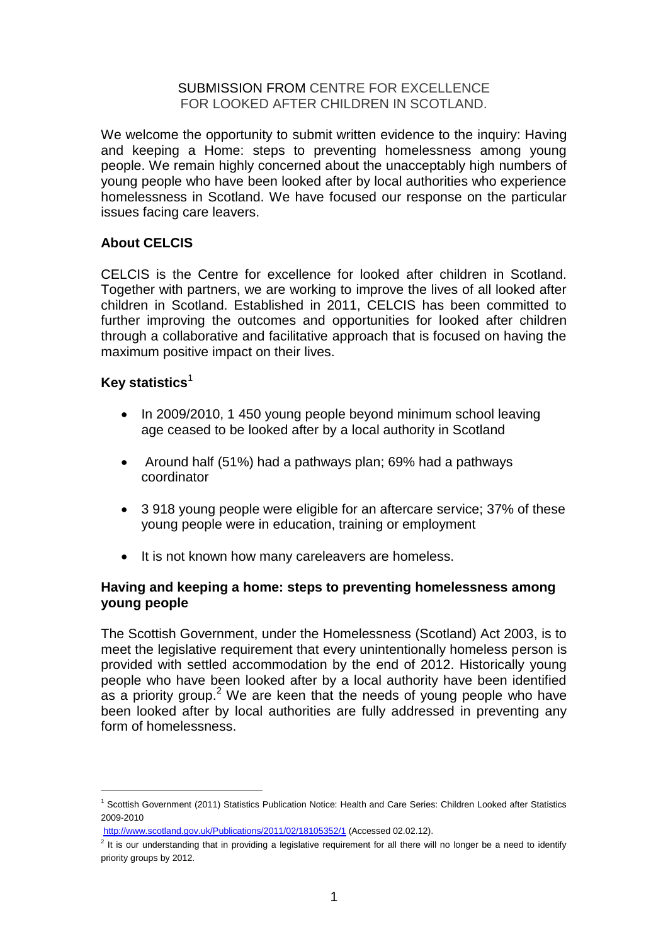#### SUBMISSION FROM CENTRE FOR EXCELLENCE FOR LOOKED AFTER CHILDREN IN SCOTLAND.

We welcome the opportunity to submit written evidence to the inquiry: Having and keeping a Home: steps to preventing homelessness among young people. We remain highly concerned about the unacceptably high numbers of young people who have been looked after by local authorities who experience homelessness in Scotland. We have focused our response on the particular issues facing care leavers.

# **About CELCIS**

CELCIS is the Centre for excellence for looked after children in Scotland. Together with partners, we are working to improve the lives of all looked after children in Scotland. Established in 2011, CELCIS has been committed to further improving the outcomes and opportunities for looked after children through a collaborative and facilitative approach that is focused on having the maximum positive impact on their lives.

# **Key statistics**<sup>1</sup>

1

- In 2009/2010, 1 450 young people beyond minimum school leaving age ceased to be looked after by a local authority in Scotland
- Around half (51%) had a pathways plan; 69% had a pathways coordinator
- 3 918 young people were eligible for an aftercare service; 37% of these young people were in education, training or employment
- It is not known how many careleavers are homeless.

# **Having and keeping a home: steps to preventing homelessness among young people**

The Scottish Government, under the Homelessness (Scotland) Act 2003, is to meet the legislative requirement that every unintentionally homeless person is provided with settled accommodation by the end of 2012. Historically young people who have been looked after by a local authority have been identified as a priority group.<sup>2</sup> We are keen that the needs of young people who have been looked after by local authorities are fully addressed in preventing any form of homelessness.

<sup>1</sup> Scottish Government (2011) Statistics Publication Notice: Health and Care Series: Children Looked after Statistics 2009-2010

<http://www.scotland.gov.uk/Publications/2011/02/18105352/1> (Accessed 02.02.12).

 $2$  It is our understanding that in providing a legislative requirement for all there will no longer be a need to identify priority groups by 2012.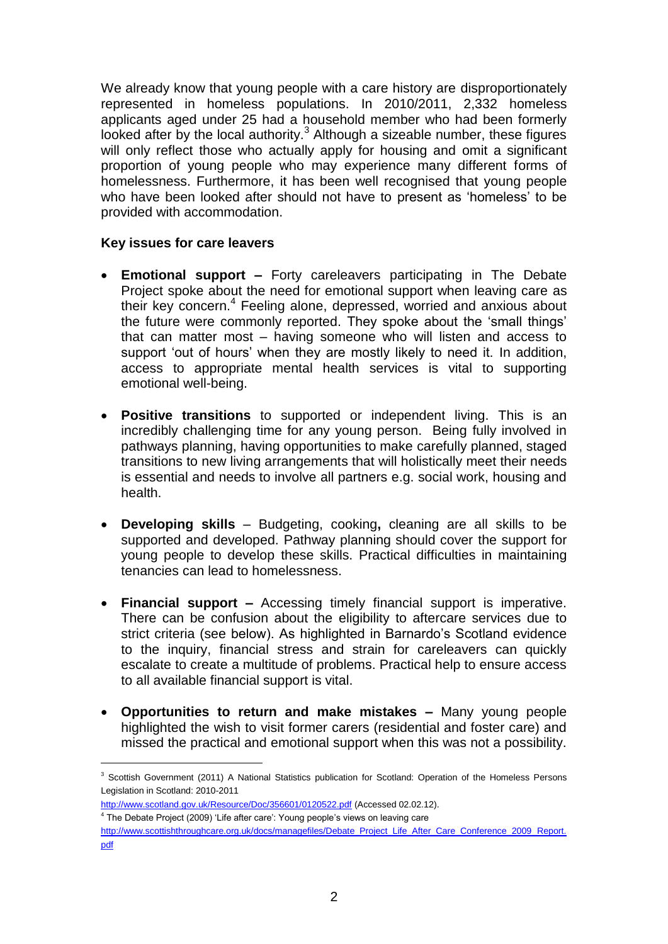We already know that young people with a care history are disproportionately represented in homeless populations. In 2010/2011, 2,332 homeless applicants aged under 25 had a household member who had been formerly looked after by the local authority.<sup>3</sup> Although a sizeable number, these figures will only reflect those who actually apply for housing and omit a significant proportion of young people who may experience many different forms of homelessness. Furthermore, it has been well recognised that young people who have been looked after should not have to present as 'homeless' to be provided with accommodation.

### **Key issues for care leavers**

- **Emotional support –** Forty careleavers participating in The Debate Project spoke about the need for emotional support when leaving care as their key concern.<sup>4</sup> Feeling alone, depressed, worried and anxious about the future were commonly reported. They spoke about the 'small things' that can matter most – having someone who will listen and access to support 'out of hours' when they are mostly likely to need it. In addition, access to appropriate mental health services is vital to supporting emotional well-being.
- **Positive transitions** to supported or independent living. This is an incredibly challenging time for any young person. Being fully involved in pathways planning, having opportunities to make carefully planned, staged transitions to new living arrangements that will holistically meet their needs is essential and needs to involve all partners e.g. social work, housing and health.
- **Developing skills**  Budgeting, cooking**,** cleaning are all skills to be supported and developed. Pathway planning should cover the support for young people to develop these skills. Practical difficulties in maintaining tenancies can lead to homelessness.
- **Financial support –** Accessing timely financial support is imperative. There can be confusion about the eligibility to aftercare services due to strict criteria (see below). As highlighted in Barnardo's Scotland evidence to the inquiry, financial stress and strain for careleavers can quickly escalate to create a multitude of problems. Practical help to ensure access to all available financial support is vital.
- **Opportunities to return and make mistakes –** Many young people highlighted the wish to visit former carers (residential and foster care) and missed the practical and emotional support when this was not a possibility.

- <http://www.scotland.gov.uk/Resource/Doc/356601/0120522.pdf> (Accessed 02.02.12).
- <sup>4</sup> The Debate Project (2009) 'Life after care': Young people's views on leaving care

1

<sup>&</sup>lt;sup>3</sup> Scottish Government (2011) A National Statistics publication for Scotland: Operation of the Homeless Persons Legislation in Scotland: 2010-2011

[http://www.scottishthroughcare.org.uk/docs/managefiles/Debate\\_Project\\_Life\\_After\\_Care\\_Conference\\_2009\\_Report.](http://www.scottishthroughcare.org.uk/docs/managefiles/Debate_Project_Life_After_Care_Conference_2009_Report.pdf) [pdf](http://www.scottishthroughcare.org.uk/docs/managefiles/Debate_Project_Life_After_Care_Conference_2009_Report.pdf)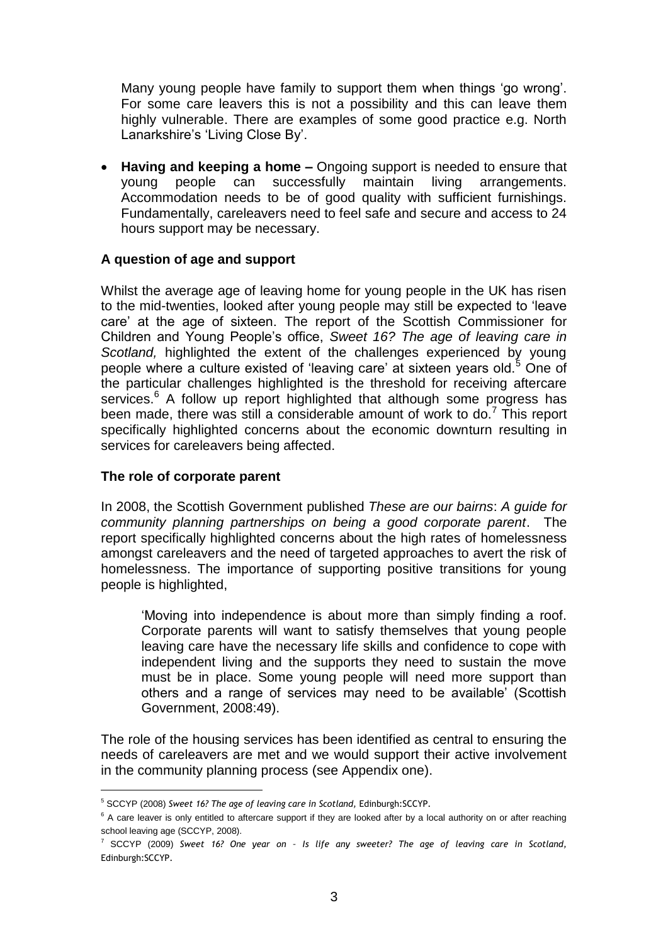Many young people have family to support them when things 'go wrong'. For some care leavers this is not a possibility and this can leave them highly vulnerable. There are examples of some good practice e.g. North Lanarkshire's 'Living Close By'.

 **Having and keeping a home –** Ongoing support is needed to ensure that young people can successfully maintain living arrangements. Accommodation needs to be of good quality with sufficient furnishings. Fundamentally, careleavers need to feel safe and secure and access to 24 hours support may be necessary.

### **A question of age and support**

Whilst the average age of leaving home for young people in the UK has risen to the mid-twenties, looked after young people may still be expected to 'leave care' at the age of sixteen. The report of the Scottish Commissioner for Children and Young People's office, *Sweet 16? The age of leaving care in Scotland,* highlighted the extent of the challenges experienced by young people where a culture existed of 'leaving care' at sixteen years old.<sup>5</sup> One of the particular challenges highlighted is the threshold for receiving aftercare services.<sup>6</sup> A follow up report highlighted that although some progress has been made, there was still a considerable amount of work to do.<sup>7</sup> This report specifically highlighted concerns about the economic downturn resulting in services for careleavers being affected.

### **The role of corporate parent**

1

In 2008, the Scottish Government published *These are our bairns*: *A guide for community planning partnerships on being a good corporate parent*. The report specifically highlighted concerns about the high rates of homelessness amongst careleavers and the need of targeted approaches to avert the risk of homelessness. The importance of supporting positive transitions for young people is highlighted,

'Moving into independence is about more than simply finding a roof. Corporate parents will want to satisfy themselves that young people leaving care have the necessary life skills and confidence to cope with independent living and the supports they need to sustain the move must be in place. Some young people will need more support than others and a range of services may need to be available' (Scottish Government, 2008:49).

The role of the housing services has been identified as central to ensuring the needs of careleavers are met and we would support their active involvement in the community planning process (see Appendix one).

<sup>5</sup> SCCYP (2008) *Sweet 16? The age of leaving care in Scotland,* Edinburgh:SCCYP.

 $6$  A care leaver is only entitled to aftercare support if they are looked after by a local authority on or after reaching school leaving age (SCCYP, 2008).

<sup>7</sup> SCCYP (2009) *Sweet 16? One year on – Is life any sweeter? The age of leaving care in Scotland,*  Edinburgh:SCCYP.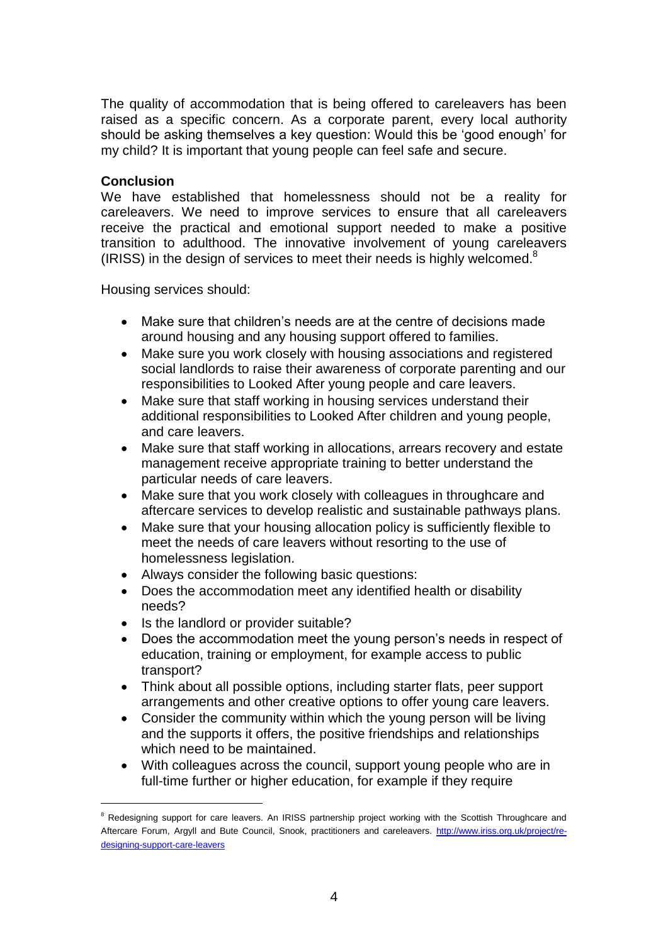The quality of accommodation that is being offered to careleavers has been raised as a specific concern. As a corporate parent, every local authority should be asking themselves a key question: Would this be 'good enough' for my child? It is important that young people can feel safe and secure.

#### **Conclusion**

1

We have established that homelessness should not be a reality for careleavers. We need to improve services to ensure that all careleavers receive the practical and emotional support needed to make a positive transition to adulthood. The innovative involvement of young careleavers (IRISS) in the design of services to meet their needs is highly welcomed. $8$ 

Housing services should:

- Make sure that children's needs are at the centre of decisions made around housing and any housing support offered to families.
- Make sure you work closely with housing associations and registered social landlords to raise their awareness of corporate parenting and our responsibilities to Looked After young people and care leavers.
- Make sure that staff working in housing services understand their additional responsibilities to Looked After children and young people, and care leavers.
- Make sure that staff working in allocations, arrears recovery and estate management receive appropriate training to better understand the particular needs of care leavers.
- Make sure that you work closely with colleagues in throughcare and aftercare services to develop realistic and sustainable pathways plans.
- Make sure that your housing allocation policy is sufficiently flexible to meet the needs of care leavers without resorting to the use of homelessness legislation.
- Always consider the following basic questions:
- Does the accommodation meet any identified health or disability needs?
- Is the landlord or provider suitable?
- Does the accommodation meet the young person's needs in respect of education, training or employment, for example access to public transport?
- Think about all possible options, including starter flats, peer support arrangements and other creative options to offer young care leavers.
- Consider the community within which the young person will be living and the supports it offers, the positive friendships and relationships which need to be maintained.
- With colleagues across the council, support young people who are in full-time further or higher education, for example if they require

<sup>&</sup>lt;sup>8</sup> Redesigning support for care leavers. An IRISS partnership project working with the Scottish Throughcare and Aftercare Forum, Argyll and Bute Council, Snook, practitioners and careleavers. [http://www.iriss.org.uk/project/re](http://www.iriss.org.uk/project/re-designing-support-care-leavers)[designing-support-care-leavers](http://www.iriss.org.uk/project/re-designing-support-care-leavers)